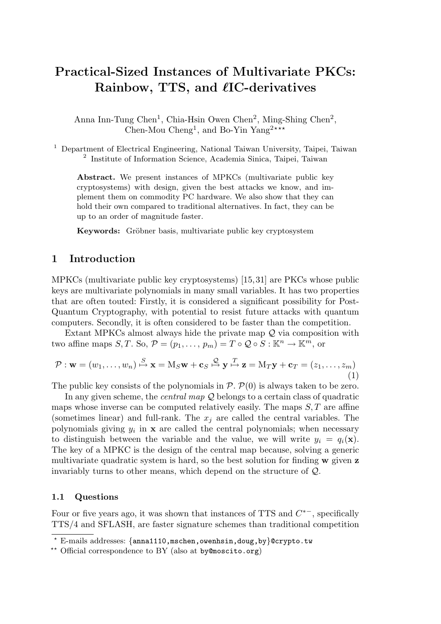# Practical-Sized Instances of Multivariate PKCs: Rainbow, TTS, and  $\ell$ IC-derivatives

Anna Inn-Tung Chen<sup>1</sup>, Chia-Hsin Owen Chen<sup>2</sup>, Ming-Shing Chen<sup>2</sup>, Chen-Mou Cheng<sup>1</sup>, and Bo-Yin Yang<sup>2\*\*\*</sup>

<sup>1</sup> Department of Electrical Engineering, National Taiwan University, Taipei, Taiwan 2 Institute of Information Science, Academia Sinica, Taipei, Taiwan

Abstract. We present instances of MPKCs (multivariate public key cryptosystems) with design, given the best attacks we know, and implement them on commodity PC hardware. We also show that they can hold their own compared to traditional alternatives. In fact, they can be up to an order of magnitude faster.

Keywords: Gröbner basis, multivariate public key cryptosystem

## 1 Introduction

MPKCs (multivariate public key cryptosystems) [15, 31] are PKCs whose public keys are multivariate polynomials in many small variables. It has two properties that are often touted: Firstly, it is considered a significant possibility for Post-Quantum Cryptography, with potential to resist future attacks with quantum computers. Secondly, it is often considered to be faster than the competition.

Extant MPKCs almost always hide the private map  $\mathcal Q$  via composition with two affine maps  $S, T$ . So,  $\mathcal{P} = (p_1, \ldots, p_m) = T \circ \mathcal{Q} \circ S : \mathbb{K}^n \to \mathbb{K}^m$ , or

$$
\mathcal{P} : \mathbf{w} = (w_1, \dots, w_n) \stackrel{S}{\mapsto} \mathbf{x} = M_S \mathbf{w} + \mathbf{c}_S \stackrel{Q}{\mapsto} \mathbf{y} \stackrel{T}{\mapsto} \mathbf{z} = M_T \mathbf{y} + \mathbf{c}_T = (z_1, \dots, z_m)
$$
\n(1)

The public key consists of the polynomials in  $\mathcal{P} \cdot \mathcal{P}(0)$  is always taken to be zero.

In any given scheme, the *central map*  $Q$  belongs to a certain class of quadratic maps whose inverse can be computed relatively easily. The maps  $S, T$  are affine (sometimes linear) and full-rank. The  $x_i$  are called the central variables. The polynomials giving  $y_i$  in  $\bf{x}$  are called the central polynomials; when necessary to distinguish between the variable and the value, we will write  $y_i = q_i(\mathbf{x})$ . The key of a MPKC is the design of the central map because, solving a generic multivariate quadratic system is hard, so the best solution for finding  $\bf{w}$  given  $\bf{z}$ invariably turns to other means, which depend on the structure of Q.

#### 1.1 Questions

Four or five years ago, it was shown that instances of TTS and  $C^*$ , specifically TTS/4 and SFLASH, are faster signature schemes than traditional competition

 $\overline{\text{F}-$ mails addresses: {anna1110,mschen,owenhsin,doug,by}@crypto.tw

<sup>\*\*</sup> Official correspondence to BY (also at by@moscito.org)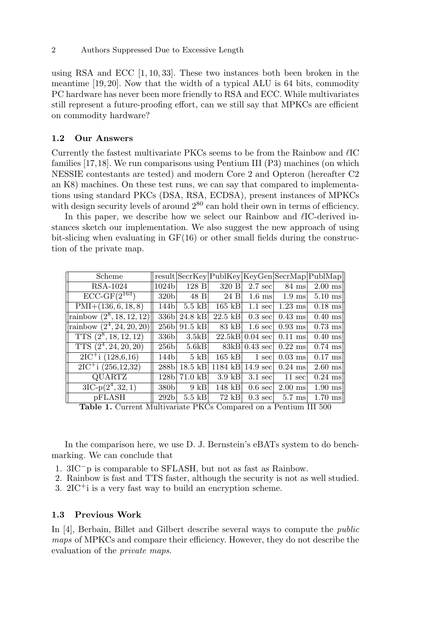using RSA and ECC  $[1, 10, 33]$ . These two instances both been broken in the meantime [19, 20]. Now that the width of a typical ALU is 64 bits, commodity PC hardware has never been more friendly to RSA and ECC. While multivariates still represent a future-proofing effort, can we still say that MPKCs are efficient on commodity hardware?

### 1.2 Our Answers

Currently the fastest multivariate PKCs seems to be from the Rainbow and  $\ell$ IC families [17,18]. We run comparisons using Pentium III (P3) machines (on which NESSIE contestants are tested) and modern Core 2 and Opteron (hereafter C2 an K8) machines. On these test runs, we can say that compared to implementations using standard PKCs (DSA, RSA, ECDSA), present instances of MPKCs with design security levels of around  $2^{80}$  can hold their own in terms of efficiency.

In this paper, we describe how we select our Rainbow and  $\ell$ IC-derived instances sketch our implementation. We also suggest the new approach of using bit-slicing when evaluating in GF(16) or other small fields during the construction of the private map.

| Scheme                                                |                                                   |                   |                   |                    |                        | $result SecrKey PublKey KeyGen SecrMap PublMap $ |
|-------------------------------------------------------|---------------------------------------------------|-------------------|-------------------|--------------------|------------------------|--------------------------------------------------|
| <b>RSA-1024</b>                                       | 1024 <sub>b</sub>                                 | 128B              | 320 B             | $2.7 \text{ sec}$  | 84 ms                  | $2.00$ ms                                        |
| $\overline{\mathrm{ECC}\text{-}\mathrm{GF}(2^{163})}$ | 320 <sub>b</sub>                                  | 48 B              | 24 B              | $1.6$ ms           | $1.9$ ms               | $5.10$ ms                                        |
| $PMI+(136, 6, 18, 8)$                                 | 144b                                              | $5.5$ kB          | $165$ kB          | $1.1 \text{ sec}$  | $1.23$ ms              | $0.18$ ms                                        |
| rainbow $(2^8, 18, 12, 12)$                           | 336 <sub>b</sub>                                  | $24.8$ kB         | $22.5$ kB         | $0.3 \text{ sec}$  | $0.43$ ms              | $0.40$ ms                                        |
| rainbow $(2^4, 24, 20, 20)$                           | 256 <sub>b</sub>                                  | $91.5$ kB         | 83 kB             | $1.6 \text{ sec}$  | $0.93$ ms              | $0.73$ ms                                        |
| TTS $(2^8, 18, 12, 12)$                               | 336 <sub>b</sub>                                  | 3.5kB             | 22.5kB            | $0.04 \text{ sec}$ | $0.11$ ms              | $0.40$ ms                                        |
| $TTS(2^4, 24, 20, 20)$                                | 256 <sub>b</sub>                                  | 5.6kB             |                   | $83kB$ 0.43 sec    | $0.22$ ms              | $0.74$ ms                                        |
| $\overline{2IC}$ <sup>+</sup> i (128,6,16)            | 144bl                                             | $5$ kB            | $165$ kB          | $1 \text{ sec}$    | $0.03$ ms              | $0.17$ ms                                        |
| $2IC^{+}i(256,12,32)$                                 | 288 <sub>b</sub>                                  | $18.5$ kB         | $1184$ kB         | $14.9 \text{ sec}$ | $0.24$ ms              | $2.60$ ms                                        |
| QUARTZ                                                | 128 <sub>b</sub>                                  | $71.0$ kB         | $3.9$ kB          | $3.1 \text{ sec}$  | $11 \text{ sec}$       | $0.24$ ms                                        |
| $3IC-p(2^4,32,1)$                                     | 380 <sub>b</sub>                                  | $9$ kB            | $148$ kB          | $0.6 \text{ sec}$  | $2.00$ ms              | $1.90$ ms                                        |
| pFLASH<br><i>.</i>                                    | 292 <sub>b</sub><br>$\mathbf{r}$ and $\mathbf{r}$ | $5.5$ kB<br>T T Z | $72$ kB<br>$\sim$ | $0.3 \text{ sec}$  | $5.7 \text{ ms}$<br>D. | $1.70$ ms $\parallel$<br>TTT POO                 |

Table 1. Current Multivariate PKCs Compared on a Pentium III 500

In the comparison here, we use D. J. Bernstein's eBATs system to do benchmarking. We can conclude that

- 1. 3IC<sup>−</sup>p is comparable to SFLASH, but not as fast as Rainbow.
- 2. Rainbow is fast and TTS faster, although the security is not as well studied.
- 3. 2IC<sup>+</sup>i is a very fast way to build an encryption scheme.

#### 1.3 Previous Work

In [4], Berbain, Billet and Gilbert describe several ways to compute the public maps of MPKCs and compare their efficiency. However, they do not describe the evaluation of the private maps.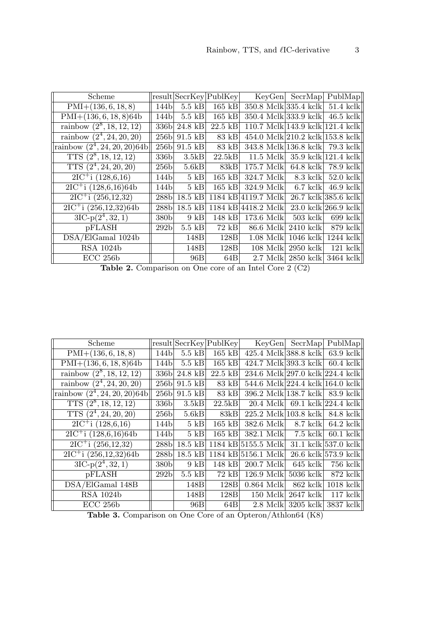| Scheme                                           |                  |                   | result SecrKey PublKey | KeyGen                           | SecrMap     | PublMap                          |
|--------------------------------------------------|------------------|-------------------|------------------------|----------------------------------|-------------|----------------------------------|
| $PMI+(136, 6, 18, 8)$                            | 144b             | $5.5$ kB          | $165 \text{ kB}$       | 350.8 Mclk 335.4 kclk            |             | $51.4$ kclk                      |
| $PMI+(136, 6, 18, 8)64b$                         | 144bl            | $5.5$ kB          | 165 kB                 | $350.4$ Mclk 333.9 kclk          |             | $46.5$ kclk                      |
| rainbow $(2^8, 18, 12, 12)$                      | 336 <sub>b</sub> | $24.8$ kB         | $22.5$ kB              | 110.7 Mclk 143.9 kclk 121.4 kclk |             |                                  |
| rainbow $(2^4, 24, 20, 20)$                      | 256b             | $91.5$ kB         | 83 kB                  | 454.0 Mclk 210.2 kclk 153.8 kclk |             |                                  |
| rainbow $(2^4, 24, 20, 20)$ 64b                  | 256 <sub>b</sub> | $91.5$ kB         | 83 kB                  | 343.8 Mclk 136.8 kclk            |             | $79.3 \text{ kclk}$              |
| TTS $(2^8, 18, 12, 12)$                          | 336bl            | 3.5kB             | 22.5kB                 | 11.5 Melkl                       |             | $35.9 \text{ kclk}$   121.4 kclk |
| TTS $(2^4, 24, 20, 20)$                          | 256bl            | 5.6kB             | 83kB                   | 175.7 Mclkl                      | $64.8$ kclk | 78.9 kclk                        |
| $2IC^{+}i(128,6,16)$                             | 144bl            | $5 \text{ kB}$    | 165 kB                 | 324.7 Mclk                       | $8.3$ kclk  | $52.0 \text{ kclk}$              |
| $2IC^+$ i (128,6,16)64b                          | 144b             | $5 \text{ kB}$    | $165$ kB               | 324.9 Mclkl                      | $6.7$ kclk  | $46.9$ kclk                      |
| $2IC^{+}i(256,12,32)$                            | 288b             | $18.5 \text{ kB}$ | 1184 kBl               | 4119.7 Mclk                      |             | 26.7 kclk 385.6 kclk             |
| $2IC^{+}i(256,12,32)64b$                         | 288b             | 18.5 kB           | 1184 kB                | 4418.2 Mclk                      |             | $23.0 \text{ kclk}$ 266.9 kclk   |
| $3IC-p(2^4,32,1)$                                | 380b             | $9$ kB            | 148 kB                 | -173.6 Mclkl                     | $503$ kclk  | $699$ kclk                       |
| pFLASH                                           | 292 <sub>b</sub> | $5.5$ kB          | $72$ kB                | 86.6 Mclk                        | $2410$ kclk | 879 kclk                         |
| $\overline{\mathrm{DSA}}/\mathrm{ElGamal}$ 1024b |                  | 148B              | 128B                   | $1.08$ Melk                      | $1046$ kclk | $1244$ kelk                      |
| <b>RSA 1024b</b>                                 |                  | 148B              | 128B                   | 108 Mclk                         | $2950$ kclk | $121$ kclk                       |
| $ECC$ 256b                                       |                  | 96B               | 64B                    | 2.7 Mclkl                        | $2850$ kclk | 3464 kclk                        |

Table 2. Comparison on One core of an Intel Core 2 (C2)

| Scheme                                         |                  |                | result SecrKey PublKey | KeyGen                           | SecrMap      | PublMap                          |
|------------------------------------------------|------------------|----------------|------------------------|----------------------------------|--------------|----------------------------------|
| $PMI+(136, 6, 18, 8)$                          | 144b             | $5.5$ kB       | $165$ kB               | 425.4 Mclk 388.8 kclk            |              | $63.9$ kclk                      |
| $PMI+(136, 6, 18, 8)64b$                       | 144b             | $5.5$ kB       | 165 kB                 | 424.7 Mclk 393.3 kclk            |              | $60.4 \text{ kclk}$              |
| rainbow $(2^8, 18, 12, 12)$                    | 336b             | $24.8$ kB      | $22.5$ kB              | 234.6 Mclk 297.0 kclk 224.4 kclk |              |                                  |
| $\overline{\text{rainbow } (2^4, 24, 20, 20)}$ | 256 <sub>b</sub> | $91.5$ kB      | 83 kB                  | 544.6 Mclk 224.4 kclk 164.0 kclk |              |                                  |
| rainbow $(2^4, 24, 20, 20)$ 64b                | 256 <sub>b</sub> | $91.5$ kB      | $83$ kB                | 396.2 Mclk 138.7 kclk            |              | 83.9 kclk                        |
| TTS $(2^8, 18, 12, 12)$                        | 336 <sub>b</sub> | 3.5kB          | 22.5kB                 | $20.4 \text{ Mclk}$              |              | 69.1 kclk $ 224.4 \text{ kclk} $ |
| TTS $(2^4, 24, 20, 20)$                        | 256bl            | 5.6kB          | 83kB                   | $225.2 \text{ Mclk}$             | $103.8$ kclk | 84.8 kclk                        |
| $2IC^{+}i(128,6,16)$                           | 144b             | $5 \text{ kB}$ | $165$ kB               | 382.6 Mclk                       | $8.7$ kclk   | $64.2 \text{ kclk}$              |
| $2IC^{+}$ i (128,6,16)64b                      | 144b             | $5 \text{ kB}$ | $165$ kB               | 382.1 Mclk                       | $7.5$ kclk   | $60.1$ kclk                      |
| $2IC^{+}i(256,12,32)$                          | 288b             | $18.5$ kB      |                        | 1184 kB 5155.5 Mclk              |              | 31.1 kclk 537.0 kclk             |
| $2IC^{+}i (256, 12, 32)64b$                    | 288b             | $18.5$ kB      |                        | 1184 kB 5156.1 Mclk              |              | 26.6 kclk 573.9 kclk             |
| $3IC-p(2^4,32,1)$                              | 380b             | $9 \text{ kB}$ | 148 kB                 | 200.7 Mclk                       | $645$ kclk   | 756 kclk                         |
| pFLASH                                         | 292 <sub>b</sub> | $5.5$ kB       | 72 kB                  | $126.9$ Mclk                     | $5036$ kclk  | 872 kclk                         |
| DSA/ElGamal 148B                               |                  | 148B           | 128 <sub>B</sub>       | $0.864$ Mclk                     | $862$ kclk   | $1018$ kclk                      |
| RSA 1024b                                      |                  | 148B           | 128B                   | $150$ Mclk                       | $2647$ kclk  | $117$ kelk                       |
| $ECC$ 256b                                     |                  | 96B            | 64B                    | 2.8 Mclk                         | $3205$ kclk  | 3837 kclk                        |

Table 3. Comparison on One Core of an Opteron/Athlon64 (K8)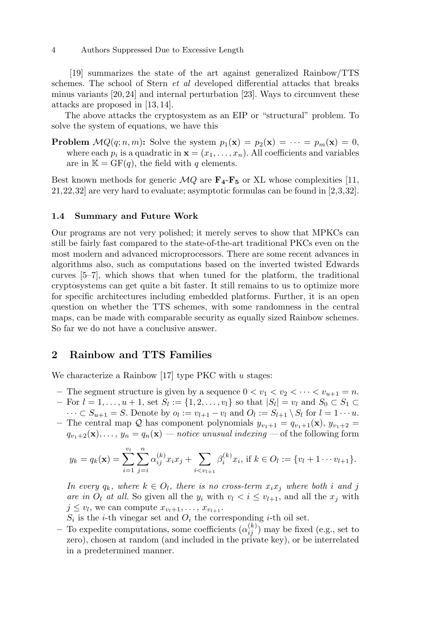[19] summarizes the state of the art against generalized Rainbow/TTS schemes. The school of Stern et al developed differential attacks that breaks minus variants [20, 24] and internal perturbation [23]. Ways to circumvent these attacks are proposed in [13, 14].

The above attacks the cryptosystem as an EIP or "structural" problem. To solve the system of equations, we have this

**Problem**  $MQ(q; n, m)$ : Solve the system  $p_1(\mathbf{x}) = p_2(\mathbf{x}) = \cdots = p_m(\mathbf{x}) = 0$ , where each  $p_i$  is a quadratic in  $\mathbf{x} = (x_1, \dots, x_n)$ . All coefficients and variables are in  $\mathbb{K} = \mathrm{GF}(q)$ , the field with q elements.

Best known methods for generic  $MQ$  are  $\mathbf{F}_4\text{-}\mathbf{F}_5$  or XL whose complexities [11, 21,22,32] are very hard to evaluate; asymptotic formulas can be found in [2,3,32].

#### 1.4 Summary and Future Work

Our programs are not very polished; it merely serves to show that MPKCs can still be fairly fast compared to the state-of-the-art traditional PKCs even on the most modern and advanced microprocessors. There are some recent advances in algorithms also, such as computations based on the inverted twisted Edwards curves [5–7], which shows that when tuned for the platform, the traditional cryptosystems can get quite a bit faster. It still remains to us to optimize more for specific architectures including embedded platforms. Further, it is an open question on whether the TTS schemes, with some randomness in the central maps, can be made with comparable security as equally sized Rainbow schemes. So far we do not have a conclusive answer.

# 2 Rainbow and TTS Families

We characterize a Rainbow [17] type PKC with  $u$  stages:

- The segment structure is given by a sequence  $0 < v_1 < v_2 < \cdots < v_{u+1} = n$ .  $-$  For  $l = 1, ..., u + 1$ , set  $S_l := \{1, 2, ..., v_l\}$  so that  $|S_l| = v_l$  and  $S_0 \subset S_1 \subset$  $\cdots \subset S_{u+1} = S$ . Denote by  $o_l := v_{l+1} - v_l$  and  $O_l := S_{l+1} \setminus S_l$  for  $l = 1 \cdots u$ .
- The central map Q has component polynomials  $y_{v_1+1} = q_{v_1+1}(\mathbf{x}), y_{v_1+2} =$  $q_{v_1+2}(\mathbf{x}), \ldots, y_n = q_n(\mathbf{x})$  — notice unusual indexing — of the following form

$$
y_k = q_k(\mathbf{x}) = \sum_{i=1}^{v_l} \sum_{j=i}^n \alpha_{ij}^{(k)} x_i x_j + \sum_{i < v_{l+1}} \beta_i^{(k)} x_i, \text{ if } k \in O_l := \{v_l + 1 \cdots v_{l+1}\}.
$$

In every  $q_k$ , where  $k \in O_l$ , there is no cross-term  $x_i x_j$  where both i and j are in  $O_l$  at all. So given all the  $y_i$  with  $v_l < i \le v_{l+1}$ , and all the  $x_j$  with  $j \leq v_l$ , we can compute  $x_{v_l+1}, \ldots, x_{v_{l+1}}$ .

 $S_i$  is the *i*-th vinegar set and  $O_i$  the corresponding *i*-th oil set.

– To expedite computations, some coefficients  $(\alpha_{ij}^{(k)})$  may be fixed (e.g., set to zero), chosen at random (and included in the private key), or be interrelated in a predetermined manner.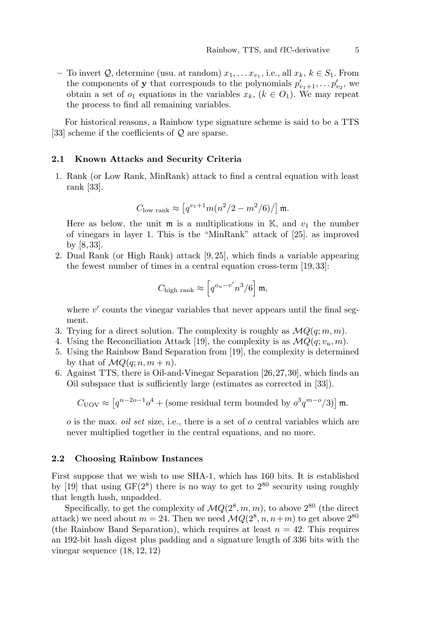- To invert  $Q$ , determine (usu. at random)  $x_1, \ldots x_{v_1}$ , i.e., all  $x_k, k \in S_1$ . From the components of **y** that corresponds to the polynomials  $p'_{v_1+1}, \ldots, p'_{v_2}$ , we obtain a set of  $o_1$  equations in the variables  $x_k$ ,  $(k \in O_1)$ . We may repeat the process to find all remaining variables.

For historical reasons, a Rainbow type signature scheme is said to be a TTS [33] scheme if the coefficients of Q are sparse.

#### 2.1 Known Attacks and Security Criteria

1. Rank (or Low Rank, MinRank) attack to find a central equation with least rank [33].

$$
C_{\text{low rank}} \approx \left[ q^{v_1+1} m (n^2/2 - m^2/6) / \right] \mathfrak{m}.
$$

Here as below, the unit  $\mathfrak{m}$  is a multiplications in K, and  $v_1$  the number of vinegars in layer 1. This is the "MinRank" attack of [25]. as improved by [8, 33].

2. Dual Rank (or High Rank) attack [9, 25], which finds a variable appearing the fewest number of times in a central equation cross-term [19, 33]:

$$
C_{\rm high\ rank} \approx \left[ q^{o_n - v'} n^3/6 \right] \mathfrak{m},
$$

where  $v'$  counts the vinegar variables that never appears until the final segment.

- 3. Trying for a direct solution. The complexity is roughly as  $\mathcal{M}Q(q; m, m)$ .
- 4. Using the Reconciliation Attack [19], the complexity is as  $\mathcal{M}Q(q; v_u, m)$ .
- 5. Using the Rainbow Band Separation from [19], the complexity is determined by that of  $MQ(q; n, m+n)$ .
- 6. Against TTS, there is Oil-and-Vinegar Separation [26,27,30], which finds an Oil subspace that is sufficiently large (estimates as corrected in [33]).

$$
C_{\text{UOV}} \approx \left[ q^{n-2o-1} o^4 + (\text{some residual term bounded by } o^3 q^{m-o}/3) \right] \mathfrak{m}.
$$

 $\sigma$  is the max. *oil set* size, i.e., there is a set of  $\sigma$  central variables which are never multiplied together in the central equations, and no more.

#### 2.2 Choosing Rainbow Instances

First suppose that we wish to use SHA-1, which has 160 bits. It is established by [19] that using  $GF(2^8)$  there is no way to get to  $2^{80}$  security using roughly that length hash, unpadded.

Specifically, to get the complexity of  $MQ(2^8, m, m)$ , to above  $2^{80}$  (the direct attack) we need about  $m = 24$ . Then we need  $\mathcal{M}Q(2^8, n, n+m)$  to get above  $2^{80}$ (the Rainbow Band Separation), which requires at least  $n = 42$ . This requires an 192-bit hash digest plus padding and a signature length of 336 bits with the vinegar sequence (18, 12, 12)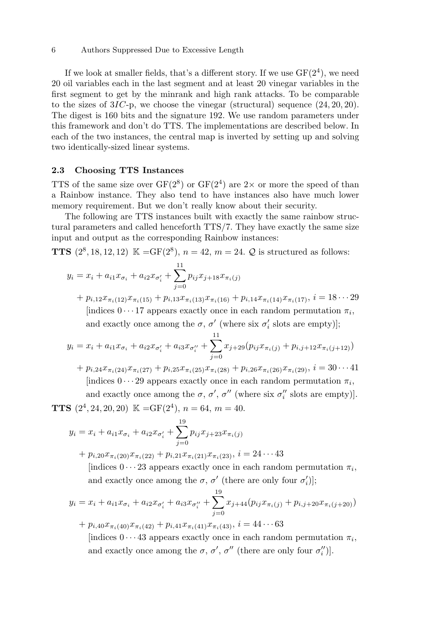#### 6 Authors Suppressed Due to Excessive Length

If we look at smaller fields, that's a different story. If we use  $GF(2<sup>4</sup>)$ , we need 20 oil variables each in the last segment and at least 20 vinegar variables in the first segment to get by the minrank and high rank attacks. To be comparable to the sizes of  $3IC$ -p, we choose the vinegar (structural) sequence  $(24, 20, 20)$ . The digest is 160 bits and the signature 192. We use random parameters under this framework and don't do TTS. The implementations are described below. In each of the two instances, the central map is inverted by setting up and solving two identically-sized linear systems.

#### 2.3 Choosing TTS Instances

TTS of the same size over  $GF(2^8)$  or  $GF(2^4)$  are  $2 \times$  or more the speed of than a Rainbow instance. They also tend to have instances also have much lower memory requirement. But we don't really know about their security.

The following are TTS instances built with exactly the same rainbow structural parameters and called henceforth TTS/7. They have exactly the same size input and output as the corresponding Rainbow instances:

**TTS**  $(2^8, 18, 12, 12) \mathbb{K} = GF(2^8), n = 42, m = 24. Q$  is structured as follows:

$$
y_i = x_i + a_{i1}x_{\sigma_i} + a_{i2}x_{\sigma'_i} + \sum_{j=0}^{11} p_{ij}x_{j+18}x_{\pi_i(j)}
$$

 $+ p_{i,12}x_{\pi_i(12)}x_{\pi_i(15)} + p_{i,13}x_{\pi_i(13)}x_{\pi_i(16)} + p_{i,14}x_{\pi_i(14)}x_{\pi_i(17)}, i = 18 \cdots 29$ [indices  $0 \cdots 17$  appears exactly once in each random permutation  $\pi_i$ , and exactly once among the  $\sigma$ ,  $\sigma'$  (where six  $\sigma'_{i}$  slots are empty)];

$$
y_i = x_i + a_{i1}x_{\sigma_i} + a_{i2}x_{\sigma'_i} + a_{i3}x_{\sigma''_i} + \sum_{j=0}^{11} x_{j+29}(p_{ij}x_{\pi_i(j)} + p_{i,j+12}x_{\pi_i(j+12)})
$$

 $+ p_{i,24}x_{\pi_i(24)}x_{\pi_i(27)} + p_{i,25}x_{\pi_i(25)}x_{\pi_i(28)} + p_{i,26}x_{\pi_i(26)}x_{\pi_i(29)}, i = 30 \cdots 41$ [indices  $0 \cdots 29$  appears exactly once in each random permutation  $\pi_i$ , and exactly once among the  $\sigma$ ,  $\sigma'$ ,  $\sigma''$  (where six  $\sigma''_i$  slots are empty)].

**TTS**  $(2^4, 24, 20, 20) \mathbb{K} = GF(2^4), n = 64, m = 40.$ 

$$
y_i = x_i + a_{i1}x_{\sigma_i} + a_{i2}x_{\sigma'_i} + \sum_{j=0}^{19} p_{ij}x_{j+23}x_{\pi_i(j)}
$$
  
+  $p_{i,20}x_{\pi_i(20)}x_{\pi_i(22)} + p_{i,21}x_{\pi_i(21)}x_{\pi_i(23)}, i = 24 \cdots 43$   
[indices  $0 \cdots 23$  appears exactly once in each random permutation  $\pi_i$ ,

and exactly once among the  $\sigma$ ,  $\sigma'$  (there are only four  $\sigma'_{i}$ )];

$$
y_i = x_i + a_{i1}x_{\sigma_i} + a_{i2}x_{\sigma'_i} + a_{i3}x_{\sigma''_i} + \sum_{j=0}^{19} x_{j+44}(p_{ij}x_{\pi_i(j)} + p_{i,j+20}x_{\pi_i(j+20)})
$$
  
+  $p_{i,40}x_{\pi_i(40)}x_{\pi_i(42)} + p_{i,41}x_{\pi_i(41)}x_{\pi_i(43)}, i = 44 \cdots 63$ 

[indices  $0 \cdots 43$  appears exactly once in each random permutation  $\pi_i$ , and exactly once among the  $\sigma$ ,  $\sigma'$ ,  $\sigma''$  (there are only four  $\sigma''_i$ ).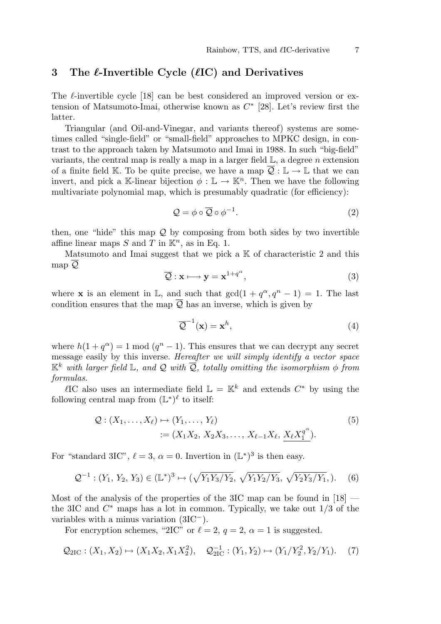# 3 The  $\ell$ -Invertible Cycle ( $\ell$ IC) and Derivatives

The  $\ell$ -invertible cycle [18] can be best considered an improved version or extension of Matsumoto-Imai, otherwise known as  $C^*$  [28]. Let's review first the latter.

Triangular (and Oil-and-Vinegar, and variants thereof) systems are sometimes called "single-field" or "small-field" approaches to MPKC design, in contrast to the approach taken by Matsumoto and Imai in 1988. In such "big-field" variants, the central map is really a map in a larger field  $\mathbb{L}$ , a degree n extension of a finite field K. To be quite precise, we have a map  $\overline{Q} : \mathbb{L} \to \mathbb{L}$  that we can invert, and pick a K-linear bijection  $\phi : \mathbb{L} \to \mathbb{K}^n$ . Then we have the following multivariate polynomial map, which is presumably quadratic (for efficiency):

$$
\mathcal{Q} = \phi \circ \overline{\mathcal{Q}} \circ \phi^{-1}.
$$
 (2)

then, one "hide" this map  $\mathcal Q$  by composing from both sides by two invertible affine linear maps S and T in  $\mathbb{K}^n$ , as in Eq. 1.

Matsumoto and Imai suggest that we pick a  $K$  of characteristic 2 and this map  $\overline{Q}$ 

$$
\overline{Q} : \mathbf{x} \longmapsto \mathbf{y} = \mathbf{x}^{1+q^{\alpha}}, \tag{3}
$$

where **x** is an element in  $\mathbb{L}$ , and such that  $gcd(1 + q^{\alpha}, q^{n} - 1) = 1$ . The last condition ensures that the map  $\overline{Q}$  has an inverse, which is given by

$$
\overline{\mathcal{Q}}^{-1}(\mathbf{x}) = \mathbf{x}^h,\tag{4}
$$

where  $h(1 + q^{\alpha}) = 1 \text{ mod } (q^n - 1)$ . This ensures that we can decrypt any secret message easily by this inverse. Hereafter we will simply identify a vector space  $\mathbb{K}^k$  with larger field L, and Q with  $\overline{Q}$ , totally omitting the isomorphism  $\phi$  from formulas.

 $\ell$ IC also uses an intermediate field  $\mathbb{L} = \mathbb{K}^k$  and extends  $C^*$  by using the following central map from  $(\mathbb{L}^*)^{\ell}$  to itself:

$$
Q: (X_1, ..., X_\ell) \mapsto (Y_1, ..., Y_\ell)
$$
  
 :=  $(X_1 X_2, X_2 X_3, ..., X_{\ell-1} X_\ell, \underline{X_\ell X_1^{q^{\alpha}}}).$  (5)

For "standard 3IC",  $\ell = 3$ ,  $\alpha = 0$ . Invertion in  $(L^*)^3$  is then easy.

$$
\mathcal{Q}^{-1} : (Y_1, Y_2, Y_3) \in (\mathbb{L}^*)^3 \mapsto (\sqrt{Y_1 Y_3 / Y_2}, \sqrt{Y_1 Y_2 / Y_3}, \sqrt{Y_2 Y_3 / Y_1}), \quad (6)
$$

Most of the analysis of the properties of the 3IC map can be found in  $[18]$  the 3IC and  $C^*$  maps has a lot in common. Typically, we take out  $1/3$  of the variables with a minus variation (3IC<sup>−</sup>).

For encryption schemes, "2IC" or  $\ell = 2$ ,  $q = 2$ ,  $\alpha = 1$  is suggested.

$$
\mathcal{Q}_{2IC}: (X_1, X_2) \mapsto (X_1 X_2, X_1 X_2^2), \quad \mathcal{Q}_{2IC}^{-1}: (Y_1, Y_2) \mapsto (Y_1/Y_2^2, Y_2/Y_1). \tag{7}
$$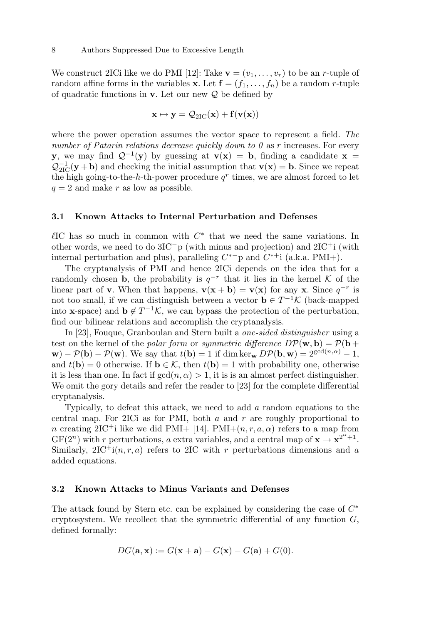We construct 2ICi like we do PMI [12]: Take  $\mathbf{v} = (v_1, \ldots, v_r)$  to be an *r*-tuple of random affine forms in the variables **x**. Let  $f = (f_1, \ldots, f_n)$  be a random *r*-tuple of quadratic functions in  $\bf{v}$ . Let our new  $\mathcal{Q}$  be defined by

$$
\mathbf{x}\mapsto\mathbf{y}=\mathcal{Q}_{\mathrm{2IC}}(\mathbf{x})+f(\mathbf{v}(\mathbf{x}))
$$

where the power operation assumes the vector space to represent a field. The number of Patarin relations decrease quickly down to  $\theta$  as r increases. For every y, we may find  $Q^{-1}(y)$  by guessing at  $v(x) = b$ , finding a candidate  $x =$  $\mathcal{Q}_{2IC}^{-1}(\mathbf{y} + \mathbf{b})$  and checking the initial assumption that  $\mathbf{v}(\mathbf{x}) = \mathbf{b}$ . Since we repeat the high going-to-the-h-th-power procedure  $q^r$  times, we are almost forced to let  $q = 2$  and make r as low as possible.

#### 3.1 Known Attacks to Internal Perturbation and Defenses

 $\ell$ IC has so much in common with  $C^*$  that we need the same variations. In other words, we need to do  $3IC^-p$  (with minus and projection) and  $2IC^+i$  (with internal perturbation and plus), paralleling  $C^*$ <sup>-</sup>p and  $C^{*+}$ i (a.k.a. PMI+).

The cryptanalysis of PMI and hence 2ICi depends on the idea that for a randomly chosen **b**, the probability is  $q^{-r}$  that it lies in the kernel K of the linear part of **v**. When that happens, **v**(**x** + **b**) = **v**(**x**) for any **x**. Since  $q^{-r}$  is not too small, if we can distinguish between a vector  $\mathbf{b} \in T^{-1} \mathcal{K}$  (back-mapped into **x**-space) and  $\mathbf{b} \notin T^{-1} \mathcal{K}$ , we can bypass the protection of the perturbation, find our bilinear relations and accomplish the cryptanalysis.

In [23], Fouque, Granboulan and Stern built a one-sided distinguisher using a test on the kernel of the *polar form* or *symmetric difference*  $D\mathcal{P}(\mathbf{w}, \mathbf{b}) = \mathcal{P}(\mathbf{b} + \mathbf{b})$  $\mathbf{w}$ ) –  $\mathcal{P}(\mathbf{b})$  –  $\mathcal{P}(\mathbf{w})$ . We say that  $t(\mathbf{b}) = 1$  if dim ker $\mathbf{w}$  D $\mathcal{P}(\mathbf{b}, \mathbf{w}) = 2^{\gcd(n, \alpha)} - 1$ , and  $t(\mathbf{b}) = 0$  otherwise. If  $\mathbf{b} \in \mathcal{K}$ , then  $t(\mathbf{b}) = 1$  with probability one, otherwise it is less than one. In fact if  $gcd(n, \alpha) > 1$ , it is is an almost perfect distinguisher. We omit the gory details and refer the reader to [23] for the complete differential cryptanalysis.

Typically, to defeat this attack, we need to add a random equations to the central map. For 2ICi as for PMI, both  $a$  and  $r$  are roughly proportional to n creating  $2IC^+$ i like we did PMI+ [14]. PMI+ $(n, r, a, \alpha)$  refers to a map from  $GF(2^n)$  with r perturbations, a extra variables, and a central map of  $\mathbf{x} \to \mathbf{x}^{2^{\alpha}+1}$ . Similarly,  $2IC^+i(n, r, a)$  refers to  $2IC$  with r perturbations dimensions and a added equations.

#### 3.2 Known Attacks to Minus Variants and Defenses

The attack found by Stern etc. can be explained by considering the case of  $C^*$ cryptosystem. We recollect that the symmetric differential of any function  $G$ , defined formally:

$$
DG(\mathbf{a}, \mathbf{x}) := G(\mathbf{x} + \mathbf{a}) - G(\mathbf{x}) - G(\mathbf{a}) + G(0).
$$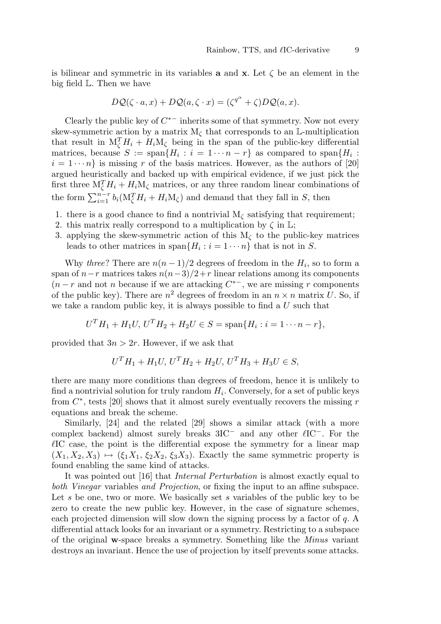is bilinear and symmetric in its variables **a** and **x**. Let  $\zeta$  be an element in the big field L. Then we have

$$
D\mathcal{Q}(\zeta \cdot a, x) + D\mathcal{Q}(a, \zeta \cdot x) = (\zeta^{q^{\alpha}} + \zeta)D\mathcal{Q}(a, x).
$$

Clearly the public key of  $C^*$  inherits some of that symmetry. Now not every skew-symmetric action by a matrix  $M_{\zeta}$  that corresponds to an L-multiplication that result in  $M_{\zeta}^T H_i + H_i M_{\zeta}$  being in the span of the public-key differential matrices, because  $S := \text{span}\{H_i : i = 1 \cdots n - r\}$  as compared to  $\text{span}\{H_i : i = 1 \cdots n - r\}$  $i = 1 \cdots n$  is missing r of the basis matrices. However, as the authors of [20] argued heuristically and backed up with empirical evidence, if we just pick the first three  $M_{\zeta}^{T}H_{i} + H_{i}M_{\zeta}$  matrices, or any three random linear combinations of the form  $\sum_{i=1}^{n-r} b_i(M_\zeta^T H_i + H_i M_\zeta)$  and demand that they fall in S, then

- 1. there is a good chance to find a nontrivial  $M_{\zeta}$  satisfying that requirement;
- 2. this matrix really correspond to a multiplication by  $\zeta$  in  $\mathbb{L}$ ;
- 3. applying the skew-symmetric action of this  $M_{\zeta}$  to the public-key matrices leads to other matrices in span $\{H_i : i = 1 \cdots n\}$  that is not in S.

Why *three?* There are  $n(n-1)/2$  degrees of freedom in the  $H_i$ , so to form a span of  $n-r$  matrices takes  $n(n-3)/2+r$  linear relations among its components  $(n - r$  and not *n* because if we are attacking  $C^{*-}$ , we are missing *r* components of the public key). There are  $n^2$  degrees of freedom in an  $n \times n$  matrix U. So, if we take a random public key, it is always possible to find a  $U$  such that

$$
U^T H_1 + H_1 U, U^T H_2 + H_2 U \in S = \text{span}\{H_i : i = 1 \cdots n - r\},\
$$

provided that  $3n > 2r$ . However, if we ask that

$$
U^T H_1 + H_1 U, U^T H_2 + H_2 U, U^T H_3 + H_3 U \in S,
$$

there are many more conditions than degrees of freedom, hence it is unlikely to find a nontrivial solution for truly random  $H_i$ . Conversely, for a set of public keys from  $C^*$ , tests [20] shows that it almost surely eventually recovers the missing r equations and break the scheme.

Similarly, [24] and the related [29] shows a similar attack (with a more complex backend) almost surely breaks  $3IC^-$  and any other  $\ell IC^-$ . For the  $\ell$ IC case, the point is the differential expose the symmetry for a linear map  $(X_1, X_2, X_3) \mapsto (\xi_1X_1, \xi_2X_2, \xi_3X_3)$ . Exactly the same symmetric property is found enabling the same kind of attacks.

It was pointed out [16] that Internal Perturbation is almost exactly equal to both Vinegar variables and Projection, or fixing the input to an affine subspace. Let s be one, two or more. We basically set s variables of the public key to be zero to create the new public key. However, in the case of signature schemes, each projected dimension will slow down the signing process by a factor of  $q$ . differential attack looks for an invariant or a symmetry. Restricting to a subspace of the original w-space breaks a symmetry. Something like the Minus variant destroys an invariant. Hence the use of projection by itself prevents some attacks.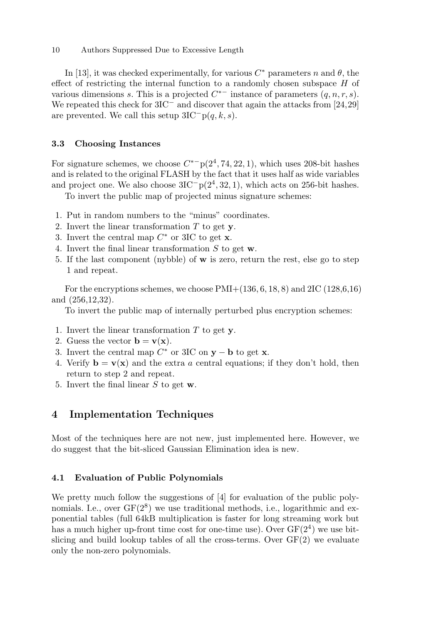#### 10 Authors Suppressed Due to Excessive Length

In [13], it was checked experimentally, for various  $C^*$  parameters n and  $\theta$ , the effect of restricting the internal function to a randomly chosen subspace H of various dimensions s. This is a projected  $C^{*-}$  instance of parameters  $(q, n, r, s)$ . We repeated this check for 3IC<sup>−</sup> and discover that again the attacks from [24,29] are prevented. We call this setup  $3IC^-p(q, k, s)$ .

#### 3.3 Choosing Instances

For signature schemes, we choose  $C^{*-}p(2^4, 74, 22, 1)$ , which uses 208-bit hashes and is related to the original FLASH by the fact that it uses half as wide variables and project one. We also choose  $3IC^-p(2^4, 32, 1)$ , which acts on 256-bit hashes.

To invert the public map of projected minus signature schemes:

- 1. Put in random numbers to the "minus" coordinates.
- 2. Invert the linear transformation  $T$  to get y.
- 3. Invert the central map  $C^*$  or 3IC to get **x**.
- 4. Invert the final linear transformation S to get w.
- 5. If the last component (nybble) of w is zero, return the rest, else go to step 1 and repeat.

For the encryptions schemes, we choose  $PMI+(136, 6, 18, 8)$  and  $2IC$  (128,6,16) and (256,12,32).

To invert the public map of internally perturbed plus encryption schemes:

- 1. Invert the linear transformation  $T$  to get y.
- 2. Guess the vector  $\mathbf{b} = \mathbf{v}(\mathbf{x})$ .
- 3. Invert the central map  $C^*$  or 3IC on  $y b$  to get x.
- 4. Verify  $\mathbf{b} = \mathbf{v}(\mathbf{x})$  and the extra a central equations; if they don't hold, then return to step 2 and repeat.
- 5. Invert the final linear S to get w.

# 4 Implementation Techniques

Most of the techniques here are not new, just implemented here. However, we do suggest that the bit-sliced Gaussian Elimination idea is new.

#### 4.1 Evaluation of Public Polynomials

We pretty much follow the suggestions of [4] for evaluation of the public polynomials. I.e., over  $GF(2^8)$  we use traditional methods, i.e., logarithmic and exponential tables (full 64kB multiplication is faster for long streaming work but has a much higher up-front time cost for one-time use). Over  $GF(2<sup>4</sup>)$  we use bitslicing and build lookup tables of all the cross-terms. Over GF(2) we evaluate only the non-zero polynomials.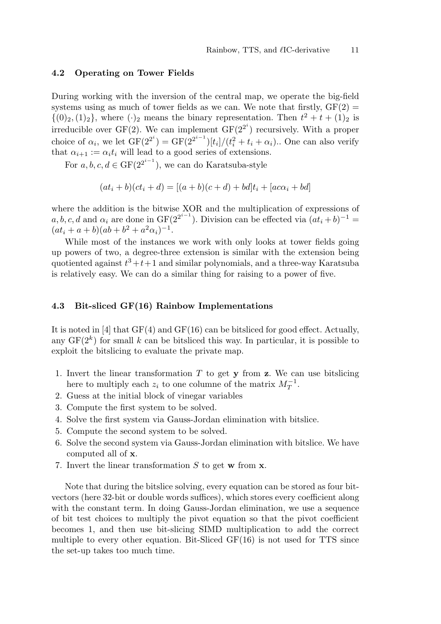#### 4.2 Operating on Tower Fields

During working with the inversion of the central map, we operate the big-field systems using as much of tower fields as we can. We note that firstly,  $GF(2) =$  $\{(0)_2,(1)_2\}$ , where  $(\cdot)_2$  means the binary representation. Then  $t^2 + t + (1)_2$  is irreducible over GF(2). We can implement  $GF(2^{2^i})$  recursively. With a proper choice of  $\alpha_i$ , we let  $GF(2^{2^i}) = GF(2^{2^{i-1}})[t_i]/(t_i^2 + t_i + \alpha_i)$ . One can also verify that  $\alpha_{i+1} := \alpha_i t_i$  will lead to a good series of extensions.

For  $a, b, c, d \in \text{GF}(2^{2^{i-1}})$ , we can do Karatsuba-style

$$
(at_i + b)(ct_i + d) = [(a + b)(c + d) + bd]t_i + [ac\alpha_i + bd]
$$

where the addition is the bitwise XOR and the multiplication of expressions of a, b, c, d and  $\alpha_i$  are done in  $GF(2^{2^{i-1}})$ . Division can be effected via  $(at_i + b)^{-1} =$  $(at_i + a + b)(ab + b^2 + a^2\alpha_i)^{-1}.$ 

While most of the instances we work with only looks at tower fields going up powers of two, a degree-three extension is similar with the extension being quotiented against  $t^3+t+1$  and similar polynomials, and a three-way Karatsuba is relatively easy. We can do a similar thing for raising to a power of five.

#### 4.3 Bit-sliced GF(16) Rainbow Implementations

It is noted in [4] that  $GF(4)$  and  $GF(16)$  can be bitsliced for good effect. Actually, any  $GF(2<sup>k</sup>)$  for small k can be bitsliced this way. In particular, it is possible to exploit the bitslicing to evaluate the private map.

- 1. Invert the linear transformation  $T$  to get  $y$  from  $z$ . We can use bitslicing here to multiply each  $z_i$  to one columne of the matrix  $M_T^{-1}$ .
- 2. Guess at the initial block of vinegar variables
- 3. Compute the first system to be solved.
- 4. Solve the first system via Gauss-Jordan elimination with bitslice.
- 5. Compute the second system to be solved.
- 6. Solve the second system via Gauss-Jordan elimination with bitslice. We have computed all of x.
- 7. Invert the linear transformation  $S$  to get w from  $x$ .

Note that during the bitslice solving, every equation can be stored as four bitvectors (here 32-bit or double words suffices), which stores every coefficient along with the constant term. In doing Gauss-Jordan elimination, we use a sequence of bit test choices to multiply the pivot equation so that the pivot coefficient becomes 1, and then use bit-slicing SIMD multiplication to add the correct multiple to every other equation. Bit-Sliced  $GF(16)$  is not used for TTS since the set-up takes too much time.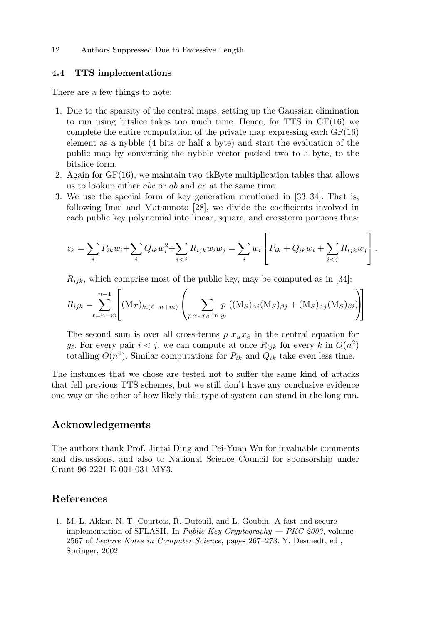12 Authors Suppressed Due to Excessive Length

#### 4.4 TTS implementations

There are a few things to note:

- 1. Due to the sparsity of the central maps, setting up the Gaussian elimination to run using bitslice takes too much time. Hence, for  $TTS$  in  $GF(16)$  we complete the entire computation of the private map expressing each  $GF(16)$ element as a nybble (4 bits or half a byte) and start the evaluation of the public map by converting the nybble vector packed two to a byte, to the bitslice form.
- 2. Again for GF(16), we maintain two 4kByte multiplication tables that allows us to lookup either abc or ab and ac at the same time.
- 3. We use the special form of key generation mentioned in [33, 34]. That is, following Imai and Matsumoto [28], we divide the coefficients involved in each public key polynomial into linear, square, and crossterm portions thus:

$$
z_k = \sum_i P_{ik} w_i + \sum_i Q_{ik} w_i^2 + \sum_{i < j} R_{ijk} w_i w_j = \sum_i w_i \left[ P_{ik} + Q_{ik} w_i + \sum_{i < j} R_{ijk} w_j \right].
$$

 $R_{ijk}$ , which comprise most of the public key, may be computed as in [34]:

$$
R_{ijk} = \sum_{\ell=n-m}^{n-1} \left[ (\mathbf{M}_T)_{k,(\ell-n+m)} \left( \sum_{p \ x_\alpha x_\beta \text{ in } y_\ell} p \ ((\mathbf{M}_S)_{\alpha i} (\mathbf{M}_S)_{\beta j} + (\mathbf{M}_S)_{\alpha j} (\mathbf{M}_S)_{\beta i}) \right) \right]
$$

The second sum is over all cross-terms p  $x_{\alpha}x_{\beta}$  in the central equation for  $y_{\ell}$ . For every pair  $i < j$ , we can compute at once  $R_{ijk}$  for every k in  $O(n^2)$ totalling  $O(n^4)$ . Similar computations for  $P_{ik}$  and  $Q_{ik}$  take even less time.

The instances that we chose are tested not to suffer the same kind of attacks that fell previous TTS schemes, but we still don't have any conclusive evidence one way or the other of how likely this type of system can stand in the long run.

## Acknowledgements

The authors thank Prof. Jintai Ding and Pei-Yuan Wu for invaluable comments and discussions, and also to National Science Council for sponsorship under Grant 96-2221-E-001-031-MY3.

## References

1. M.-L. Akkar, N. T. Courtois, R. Duteuil, and L. Goubin. A fast and secure implementation of SFLASH. In *Public Key Cryptography*  $-$  *PKC 2003*, volume 2567 of Lecture Notes in Computer Science, pages 267–278. Y. Desmedt, ed., Springer, 2002.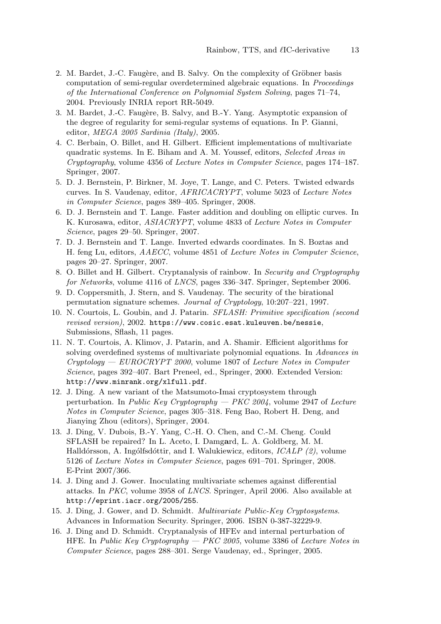- 2. M. Bardet, J.-C. Faugère, and B. Salvy. On the complexity of Gröbner basis computation of semi-regular overdetermined algebraic equations. In Proceedings of the International Conference on Polynomial System Solving, pages 71–74, 2004. Previously INRIA report RR-5049.
- 3. M. Bardet, J.-C. Faugère, B. Salvy, and B.-Y. Yang. Asymptotic expansion of the degree of regularity for semi-regular systems of equations. In P. Gianni, editor, MEGA 2005 Sardinia (Italy), 2005.
- 4. C. Berbain, O. Billet, and H. Gilbert. Efficient implementations of multivariate quadratic systems. In E. Biham and A. M. Youssef, editors, Selected Areas in Cryptography, volume 4356 of Lecture Notes in Computer Science, pages 174–187. Springer, 2007.
- 5. D. J. Bernstein, P. Birkner, M. Joye, T. Lange, and C. Peters. Twisted edwards curves. In S. Vaudenay, editor, AFRICACRYPT, volume 5023 of Lecture Notes in Computer Science, pages 389–405. Springer, 2008.
- 6. D. J. Bernstein and T. Lange. Faster addition and doubling on elliptic curves. In K. Kurosawa, editor, ASIACRYPT, volume 4833 of Lecture Notes in Computer Science, pages 29–50. Springer, 2007.
- 7. D. J. Bernstein and T. Lange. Inverted edwards coordinates. In S. Boztas and H. feng Lu, editors, AAECC, volume 4851 of Lecture Notes in Computer Science, pages 20–27. Springer, 2007.
- 8. O. Billet and H. Gilbert. Cryptanalysis of rainbow. In Security and Cryptography for Networks, volume 4116 of LNCS, pages 336–347. Springer, September 2006.
- 9. D. Coppersmith, J. Stern, and S. Vaudenay. The security of the birational permutation signature schemes. Journal of Cryptology, 10:207–221, 1997.
- 10. N. Courtois, L. Goubin, and J. Patarin. SFLASH: Primitive specification (second revised version), 2002. https://www.cosic.esat.kuleuven.be/nessie, Submissions, Sflash, 11 pages.
- 11. N. T. Courtois, A. Klimov, J. Patarin, and A. Shamir. Efficient algorithms for solving overdefined systems of multivariate polynomial equations. In Advances in Cryptology — EUROCRYPT 2000, volume 1807 of Lecture Notes in Computer Science, pages 392–407. Bart Preneel, ed., Springer, 2000. Extended Version: http://www.minrank.org/xlfull.pdf.
- 12. J. Ding. A new variant of the Matsumoto-Imai cryptosystem through perturbation. In Public Key Cryptography — PKC 2004, volume 2947 of Lecture Notes in Computer Science, pages 305–318. Feng Bao, Robert H. Deng, and Jianying Zhou (editors), Springer, 2004.
- 13. J. Ding, V. Dubois, B.-Y. Yang, C.-H. O. Chen, and C.-M. Cheng. Could SFLASH be repaired? In L. Aceto, I. Damgard, L. A. Goldberg, M. M. Halldórsson, A. Ingólfsdóttir, and I. Walukiewicz, editors,  $ICALP$  (2), volume 5126 of Lecture Notes in Computer Science, pages 691–701. Springer, 2008. E-Print 2007/366.
- 14. J. Ding and J. Gower. Inoculating multivariate schemes against differential attacks. In PKC, volume 3958 of LNCS. Springer, April 2006. Also available at http://eprint.iacr.org/2005/255.
- 15. J. Ding, J. Gower, and D. Schmidt. Multivariate Public-Key Cryptosystems. Advances in Information Security. Springer, 2006. ISBN 0-387-32229-9.
- 16. J. Ding and D. Schmidt. Cryptanalysis of HFEv and internal perturbation of HFE. In Public Key Cryptography  $-$  PKC 2005, volume 3386 of Lecture Notes in Computer Science, pages 288–301. Serge Vaudenay, ed., Springer, 2005.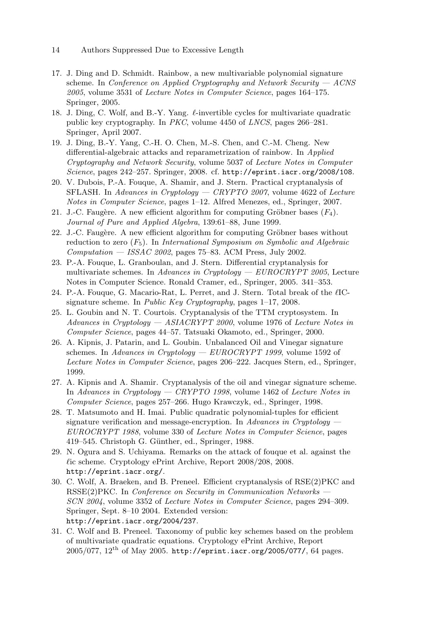- 14 Authors Suppressed Due to Excessive Length
- 17. J. Ding and D. Schmidt. Rainbow, a new multivariable polynomial signature scheme. In Conference on Applied Cryptography and Network Security  $-$  ACNS 2005, volume 3531 of Lecture Notes in Computer Science, pages 164–175. Springer, 2005.
- 18. J. Ding, C. Wolf, and B.-Y. Yang.  $\ell$ -invertible cycles for multivariate quadratic public key cryptography. In PKC, volume 4450 of LNCS, pages 266–281. Springer, April 2007.
- 19. J. Ding, B.-Y. Yang, C.-H. O. Chen, M.-S. Chen, and C.-M. Cheng. New differential-algebraic attacks and reparametrization of rainbow. In Applied Cryptography and Network Security, volume 5037 of Lecture Notes in Computer Science, pages 242–257. Springer, 2008. cf. http://eprint.iacr.org/2008/108.
- 20. V. Dubois, P.-A. Fouque, A. Shamir, and J. Stern. Practical cryptanalysis of SFLASH. In Advances in Cryptology — CRYPTO 2007, volume 4622 of Lecture Notes in Computer Science, pages 1–12. Alfred Menezes, ed., Springer, 2007.
- 21. J.-C. Faugère. A new efficient algorithm for computing Gröbner bases  $(F_4)$ . Journal of Pure and Applied Algebra, 139:61–88, June 1999.
- $22.$  J.-C. Faugère. A new efficient algorithm for computing Gröbner bases without reduction to zero  $(F_5)$ . In International Symposium on Symbolic and Algebraic  $Computation - ISSAC 2002$ , pages 75–83. ACM Press, July 2002.
- 23. P.-A. Fouque, L. Granboulan, and J. Stern. Differential cryptanalysis for multivariate schemes. In Advances in Cryptology —  $EUROCRYPT 2005$ , Lecture Notes in Computer Science. Ronald Cramer, ed., Springer, 2005. 341–353.
- 24. P.-A. Fouque, G. Macario-Rat, L. Perret, and J. Stern. Total break of the  $\ell$ ICsignature scheme. In Public Key Cryptography, pages 1–17, 2008.
- 25. L. Goubin and N. T. Courtois. Cryptanalysis of the TTM cryptosystem. In Advances in Cryptology  $-$  ASIACRYPT 2000, volume 1976 of Lecture Notes in Computer Science, pages 44–57. Tatsuaki Okamoto, ed., Springer, 2000.
- 26. A. Kipnis, J. Patarin, and L. Goubin. Unbalanced Oil and Vinegar signature schemes. In Advances in Cryptology —  $EUROCRYPT 1999$ , volume 1592 of Lecture Notes in Computer Science, pages 206–222. Jacques Stern, ed., Springer, 1999.
- 27. A. Kipnis and A. Shamir. Cryptanalysis of the oil and vinegar signature scheme. In Advances in Cryptology — CRYPTO 1998, volume 1462 of Lecture Notes in Computer Science, pages 257–266. Hugo Krawczyk, ed., Springer, 1998.
- 28. T. Matsumoto and H. Imai. Public quadratic polynomial-tuples for efficient signature verification and message-encryption. In Advances in Cryptology  $-$ EUROCRYPT 1988, volume 330 of Lecture Notes in Computer Science, pages 419–545. Christoph G. Günther, ed., Springer, 1988.
- 29. N. Ogura and S. Uchiyama. Remarks on the attack of fouque et al. against the  $\ell$ ic scheme. Cryptology ePrint Archive, Report 2008/208, 2008. http://eprint.iacr.org/.
- 30. C. Wolf, A. Braeken, and B. Preneel. Efficient cryptanalysis of RSE(2)PKC and  $RSSE(2)PKC.$  In *Conference on Security in Communication Networks*  $-$ SCN 2004, volume 3352 of Lecture Notes in Computer Science, pages 294–309. Springer, Sept. 8–10 2004. Extended version: http://eprint.iacr.org/2004/237.
- 31. C. Wolf and B. Preneel. Taxonomy of public key schemes based on the problem of multivariate quadratic equations. Cryptology ePrint Archive, Report  $2005/077$ ,  $12<sup>th</sup>$  of May 2005. http://eprint.iacr.org/2005/077/, 64 pages.